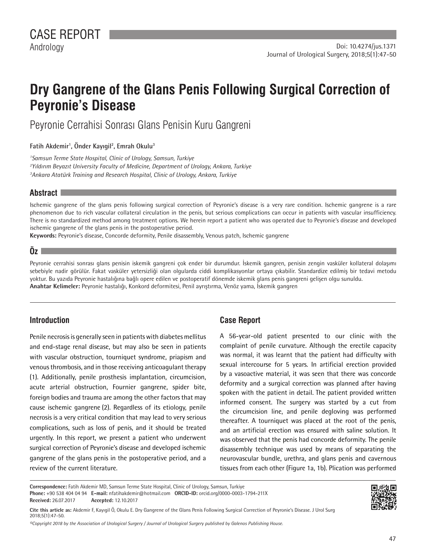# **Dry Gangrene of the Glans Penis Following Surgical Correction of Peyronie's Disease**

Peyronie Cerrahisi Sonrası Glans Penisin Kuru Gangreni

**[Fatih Akdemir](https://orcid.org/0000-0003-1794-211X)<sup>1</sup> , [Önder Kayıgil](https://orcid.org/0000-0001-8261-3940)<sup>2</sup> , [Emrah Okulu3](https://orcid.org/0000-0001-9841-0486)**

*1 Samsun Terme State Hospital, Clinic of Urology, Samsun, Turkiye 2 Yıldırım Beyazıt University Faculty of Medicine, Department of Urology, Ankara, Turkiye 3 Ankara Atatürk Training and Research Hospital, Clinic of Urology, Ankara, Turkiye*

## **Abstract**

Ischemic gangrene of the glans penis following surgical correction of Peyronie's disease is a very rare condition. Ischemic gangrene is a rare phenomenon due to rich vascular collateral circulation in the penis, but serious complications can occur in patients with vascular insufficiency. There is no standardized method among treatment options. We herein report a patient who was operated due to Peyronie's disease and developed ischemic gangrene of the glans penis in the postoperative period.

**Keywords:** Peyronie's disease, Concorde deformity, Penile disassembly, Venous patch, Ischemic gangrene

## **Öz**

Peyronie cerrahisi sonrası glans penisin iskemik gangreni çok ender bir durumdur. İskemik gangren, penisin zengin vasküler kollateral dolaşımı sebebiyle nadir görülür. Fakat vasküler yetersizliği olan olgularda ciddi komplikasyonlar ortaya çıkabilir. Standardize edilmiş bir tedavi metodu yoktur. Bu yazıda Peyronie hastalığına bağlı opere edilen ve postoperatif dönemde iskemik glans penis gangreni gelişen olgu sunuldu. **Anahtar Kelimeler:** Peyronie hastalığı, Konkord deformitesi, Penil ayrıştırma, Venöz yama, İskemik gangren

# **Introduction**

Penile necrosis is generally seen in patients with diabetes mellitus and end-stage renal disease, but may also be seen in patients with vascular obstruction, tourniquet syndrome, priapism and venous thrombosis, and in those receiving anticoagulant therapy (1). Additionally, penile prosthesis implantation, circumcision, acute arterial obstruction, Fournier gangrene, spider bite, foreign bodies and trauma are among the other factors that may cause ischemic gangrene (2). Regardless of its etiology, penile necrosis is a very critical condition that may lead to very serious complications, such as loss of penis, and it should be treated urgently. In this report, we present a patient who underwent surgical correction of Peyronie's disease and developed ischemic gangrene of the glans penis in the postoperative period, and a review of the current literature.

# **Case Report**

A 56-year-old patient presented to our clinic with the complaint of penile curvature. Although the erectile capacity was normal, it was learnt that the patient had difficulty with sexual intercourse for 5 years. In artificial erection provided by a vasoactive material, it was seen that there was concorde deformity and a surgical correction was planned after having spoken with the patient in detail. The patient provided written informed consent. The surgery was started by a cut from the circumcision line, and penile degloving was performed thereafter. A tourniquet was placed at the root of the penis, and an artificial erection was ensured with saline solution. It was observed that the penis had concorde deformity. The penile disassembly technique was used by means of separating the neurovascular bundle, urethra, and glans penis and cavernous tissues from each other (Figure 1a, 1b). Plication was performed

**Correspondence:** Fatih Akdemir MD, Samsun Terme State Hospital, Clinic of Urology, Samsun, Turkiye

**Phone:** +90 538 404 04 94 **E-mail:** nfatihakdemir@hotmail.com **ORCID-ID:** orcid.org/0000-0003-1794-211X

**Received:** 26.07.2017 **Accepted:** 12.10.2017

**Cite this article as:** Akdemir F, Kayıgil Ö, Okulu E. Dry Gangrene of the Glans Penis Following Surgical Correction of Peyronie's Disease. J Urol Surg 2018;5(1):47-50.

*©Copyright 2018 by the Association of Urological Surgery / Journal of Urological Surgery published by Galenos Publishing House.*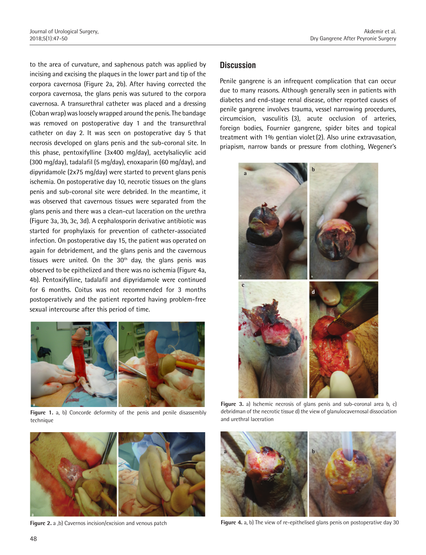to the area of curvature, and saphenous patch was applied by incising and excising the plaques in the lower part and tip of the corpora cavernosa (Figure 2a, 2b). After having corrected the corpora cavernosa, the glans penis was sutured to the corpora cavernosa. A transurethral catheter was placed and a dressing (Coban wrap) was loosely wrapped around the penis. The bandage was removed on postoperative day 1 and the transurethral catheter on day 2. It was seen on postoperative day 5 that necrosis developed on glans penis and the sub-coronal site. In this phase, pentoxifylline (3x400 mg/day), acetylsalicylic acid (300 mg/day), tadalafil (5 mg/day), enoxaparin (60 mg/day), and dipyridamole (2x75 mg/day) were started to prevent glans penis ischemia. On postoperative day 10, necrotic tissues on the glans penis and sub-coronal site were debrided. In the meantime, it was observed that cavernous tissues were separated from the glans penis and there was a clean-cut laceration on the urethra (Figure 3a, 3b, 3c, 3d). A cephalosporin derivative antibiotic was started for prophylaxis for prevention of catheter-associated infection. On postoperative day 15, the patient was operated on again for debridement, and the glans penis and the cavernous tissues were united. On the  $30<sup>th</sup>$  day, the glans penis was observed to be epithelized and there was no ischemia (Figure 4a, 4b). Pentoxifylline, tadalafil and dipyridamole were continued for 6 months. Coitus was not recommended for 3 months postoperatively and the patient reported having problem-free sexual intercourse after this period of time.



**Figure 1.** a, b) Concorde deformity of the penis and penile disassembly technique



**Figure 2.** a ,b) Cavernos incision/excision and venous patch

## **Discussion**

Penile gangrene is an infrequent complication that can occur due to many reasons. Although generally seen in patients with diabetes and end-stage renal disease, other reported causes of penile gangrene involves trauma, vessel narrowing procedures, circumcision, vasculitis (3), acute occlusion of arteries, foreign bodies, Fournier gangrene, spider bites and topical treatment with 1% gentian violet (2). Also urine extravasation, priapism, narrow bands or pressure from clothing, Wegener's



**Figure 3.** a) Ischemic necrosis of glans penis and sub-coronal area b, c) debridman of the necrotic tissue d) the view of glanulocavernosal dissociation and urethral laceration



**Figure 4.** a, b) The view of re-epithelised glans penis on postoperative day 30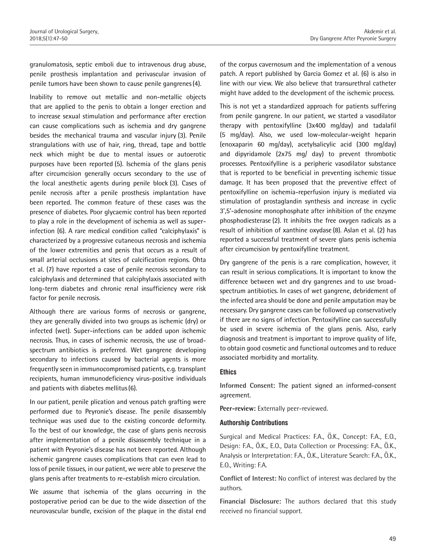granulomatosis, septic emboli due to intravenous drug abuse, penile prosthesis implantation and perivascular invasion of penile tumors have been shown to cause penile gangrenes(4).

Inability to remove out metallic and non-metallic objects that are applied to the penis to obtain a longer erection and to increase sexual stimulation and performance after erection can cause complications such as ischemia and dry gangrene besides the mechanical trauma and vascular injury (3). Penile strangulations with use of hair, ring, thread, tape and bottle neck which might be due to mental issues or autoerotic purposes have been reported (5). Ischemia of the glans penis after circumcision generally occurs secondary to the use of the local anesthetic agents during penile block (3). Cases of penile necrosis after a penile prosthesis implantation have been reported. The common feature of these cases was the presence of diabetes. Poor glycaemic control has been reported to play a role in the development of ischemia as well as superinfection (6). A rare medical condition called "calciphylaxis" is characterized by a progressive cutaneous necrosis and ischemia of the lower extremities and penis that occurs as a result of small arterial occlusions at sites of calcification regions. Ohta et al. (7) have reported a case of penile necrosis secondary to calciphylaxis and determined that calciphylaxis associated with long-term diabetes and chronic renal insufficiency were risk factor for penile necrosis.

Although there are various forms of necrosis or gangrene, they are generally divided into two groups as ischemic (dry) or infected (wet). Super-infections can be added upon ischemic necrosis. Thus, in cases of ischemic necrosis, the use of broadspectrum antibiotics is preferred. Wet gangrene developing secondary to infections caused by bacterial agents is more frequently seen in immunocompromised patients, e.g. transplant recipients, human immunodeficiency virus-positive individuals and patients with diabetes mellitus(6).

In our patient, penile plication and venous patch grafting were performed due to Peyronie's disease. The penile disassembly technique was used due to the existing concorde deformity. To the best of our knowledge, the case of glans penis necrosis after implementation of a penile disassembly technique in a patient with Peyronie's disease has not been reported. Although ischemic gangrene causes complications that can even lead to loss of penile tissues, in our patient, we were able to preserve the glans penis after treatments to re-establish micro circulation.

We assume that ischemia of the glans occurring in the postoperative period can be due to the wide dissection of the neurovascular bundle, excision of the plaque in the distal end

of the corpus cavernosum and the implementation of a venous patch. A report published by Garcia Gomez et al. (6) is also in line with our view. We also believe that transurethral catheter might have added to the development of the ischemic process.

This is not yet a standardized approach for patients suffering from penile gangrene. In our patient, we started a vasodilator therapy with pentoxifylline (3x400 mg/day) and tadalafil (5 mg/day). Also, we used low-molecular-weight heparin (enoxaparin 60 mg/day), acetylsalicylic acid (300 mg/day) and dipyridamole (2x75 mg/ day) to prevent thrombotic processes. Pentoxifylline is a peripheric vasodilator substance that is reported to be beneficial in preventing ischemic tissue damage. It has been proposed that the preventive effect of pentoxifylline on ischemia-reperfusion injury is mediated via stimulation of prostaglandin synthesis and increase in cyclic 3',5'-adenosine monophosphate after inhibition of the enzyme phosphodiesterase (2). It inhibits the free oxygen radicals as a result of inhibition of xanthine oxydase (8). Aslan et al. (2) has reported a successful treatment of severe glans penis ischemia after circumcision by pentoxifylline treatment.

Dry gangrene of the penis is a rare complication, however, it can result in serious complications. It is important to know the difference between wet and dry gangrenes and to use broadspectrum antibiotics. In cases of wet gangrene, debridement of the infected area should be done and penile amputation may be necessary. Dry gangrene cases can be followed up conservatively if there are no signs of infection. Pentoxifylline can successfully be used in severe ischemia of the glans penis. Also, early diagnosis and treatment is important to improve quality of life, to obtain good cosmetic and functional outcomes and to reduce associated morbidity and mortality.

#### **Ethics**

**Informed Consent:**  The patient signed an informed-consent agreement.

**Peer-review:** Externally peer-reviewed.

#### **Authorship Contributions**

Surgical and Medical Practices: F.A., Ö.K., Concept: F.A., E.O., Design: F.A., Ö.K., E.O., Data Collection or Processing: F.A., Ö.K., Analysis or Interpretation: F.A., Ö.K., Literature Search: F.A., Ö.K., E.O., Writing: F.A.

**Conflict of Interest:** No conflict of interest was declared by the authors.

**Financial Disclosure:** The authors declared that this study received no financial support.